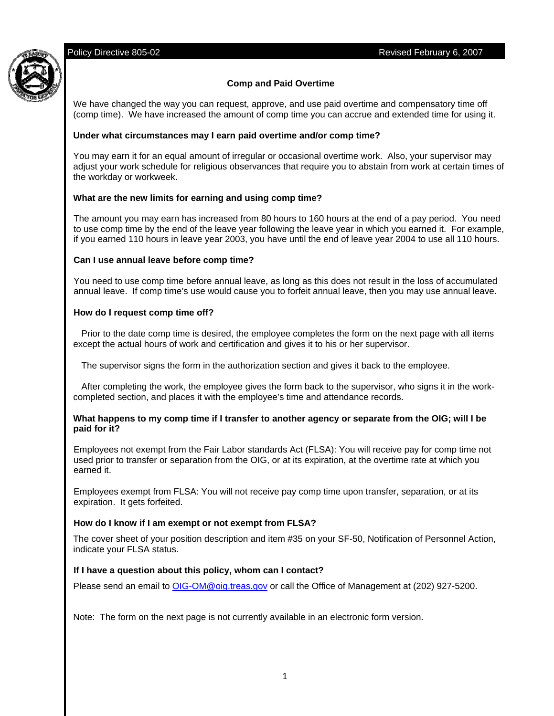

## **Comp and Paid Overtime**

We have changed the way you can request, approve, and use paid overtime and compensatory time off (comp time). We have increased the amount of comp time you can accrue and extended time for using it.

#### **Under what circumstances may I earn paid overtime and/or comp time?**

You may earn it for an equal amount of irregular or occasional overtime work. Also, your supervisor may adjust your work schedule for religious observances that require you to abstain from work at certain times of the workday or workweek.

#### **What are the new limits for earning and using comp time?**

The amount you may earn has increased from 80 hours to 160 hours at the end of a pay period. You need to use comp time by the end of the leave year following the leave year in which you earned it. For example, if you earned 110 hours in leave year 2003, you have until the end of leave year 2004 to use all 110 hours.

#### **Can I use annual leave before comp time?**

You need to use comp time before annual leave, as long as this does not result in the loss of accumulated annual leave. If comp time's use would cause you to forfeit annual leave, then you may use annual leave.

#### **How do I request comp time off?**

 Prior to the date comp time is desired, the employee completes the form on the next page with all items except the actual hours of work and certification and gives it to his or her supervisor.

The supervisor signs the form in the authorization section and gives it back to the employee.

 After completing the work, the employee gives the form back to the supervisor, who signs it in the workcompleted section, and places it with the employee's time and attendance records.

#### **What happens to my comp time if I transfer to another agency or separate from the OIG; will I be paid for it?**

Employees not exempt from the Fair Labor standards Act (FLSA): You will receive pay for comp time not used prior to transfer or separation from the OIG, or at its expiration, at the overtime rate at which you earned it.

Employees exempt from FLSA: You will not receive pay comp time upon transfer, separation, or at its expiration. It gets forfeited.

#### **How do I know if I am exempt or not exempt from FLSA?**

The cover sheet of your position description and item #35 on your SF-50, Notification of Personnel Action, indicate your FLSA status.

### **If I have a question about this policy, whom can I contact?**

Please send an email to OIG-OM@oig.treas.gov or call the Office of Management at (202) 927-5200.

Note: The form on the next page is not currently available in an electronic form version.